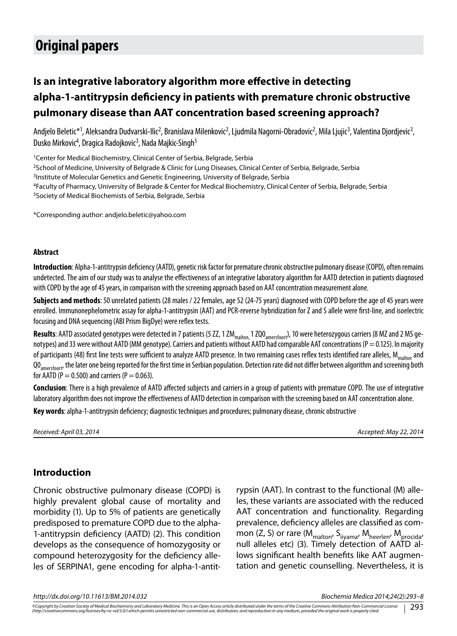# **Original papers**

## **Is an integrative laboratory algorithm more effective in detecting аlpha-1-antitrypsin deficiency in patients with premature chronic obstructive pulmonary disease than AAT concentration based screening approach?**

Andjelo Beletic\*<sup>1</sup>, Aleksandra Dudvarski-Ilic<sup>2</sup>, Branislava Milenkovic<sup>2</sup>, Ljudmila Nagorni-Obradovic<sup>2</sup>, Mila Ljujic<sup>3</sup>, Valentina Djordjevic<sup>3</sup>, Dusko Mirkovic<sup>4</sup>, Dragica Radojkovic<sup>3</sup>, Nada Majkic-Singh<sup>5</sup>

<sup>1</sup> Center for Medical Biochemistry, Clinical Center of Serbia, Belgrade, Serbia 2School of Medicine, University of Belgrade & Clinic for Lung Diseases, Clinical Center of Serbia, Belgrade, Serbia <sup>3</sup>Institute of Molecular Genetics and Genetic Engineering, University of Belgrade, Serbia 4Faculty of Pharmacy, University of Belgrade & Center for Medical Biochemistry, Clinical Center of Serbia, Belgrade, Serbia 5Society of Medical Biochemists of Serbia, Belgrade, Serbia

\*Corresponding author: andjelo.beletic@yahoo.com

#### **Abstract**

**Introduction**: Alpha-1-antitrypsin deficiency (AATD), genetic risk factor for premature chronic obstructive pulmonary disease (COPD), often remains undetected. The aim of our study was to analyse the effectiveness of an integrative laboratory algorithm for AATD detection in patients diagnosed with COPD by the age of 45 years, in comparison with the screening approach based on AAT concentration measurement alone.

**Subjects and methods**: 50 unrelated patients (28 males / 22 females, age 52 (24-75 years) diagnosed with COPD before the age of 45 years were enrolled. Immunonephelometric assay for alpha-1-antitrypsin (AAT) and PCR-reverse hybridization for Z and S allele were first-line, and isoelectric focusing and DNA sequencing (ABI Prism BigDye) were reflex tests.

Results: AATD associated genotypes were detected in 7 patients (5 ZZ, 1 ZM<sub>malton,</sub> 1 ZQO<sub>amersfoort</sub>), 10 were heterozygous carriers (8 MZ and 2 MS genotypes) and 33 were without AATD (MM genotype). Carriers and patients without AATD had comparable AAT concentrations (P = 0.125). In majority of participants (48) first line tests were sufficient to analyze AATD presence. In two remaining cases reflex tests identified rare alleles, M<sub>malton</sub> and QO<sub>amersfoort</sub>, the later one being reported for the first time in Serbian population. Detection rate did not differ between algorithm and screening both for AATD (P = 0.500) and carriers (P = 0.063).

**Conclusion**: There is a high prevalence of AATD affected subjects and carriers in a group of patients with premature COPD. The use of integrative laboratory algorithm does not improve the effectiveness of AATD detection in comparison with the screening based on AAT concentration alone.

Key words: alpha-1-antitrypsin deficiency; diagnostic techniques and procedures; pulmonary disease, chronic obstructive

*Received: April 03, 2014 Accepted: May 22, 2014*

#### **Introduction**

Chronic obstructive pulmonary disease (COPD) is highly prevalent global cause of mortality and morbidity (1). Up to 5% of patients are genetically predisposed to premature COPD due to the alpha-1-antitrypsin deficiency (AATD) (2). This condition develops as the consequence of homozygosity or compound heterozygosity for the deficiency alleles of SERPINA1, gene encoding for alpha-1-antitrypsin (AAT). In contrast to the functional (M) alleles, these variants are associated with the reduced AAT concentration and functionality. Regarding prevalence, deficiency alleles are classified as common (Z, S) or rare  $(M_{\text{malton}}/S_{\text{iiyama}}/M_{\text{heerlen}}/M_{\text{procida}})$ null alleles etc) (3). Timely detection of AATD allows significant health benefits like AAT augmentation and genetic counselling. Nevertheless, it is

*http://dx.doi.org/10.11613/BM.2014.032 Biochemia Medica 2014;24(2):293–8*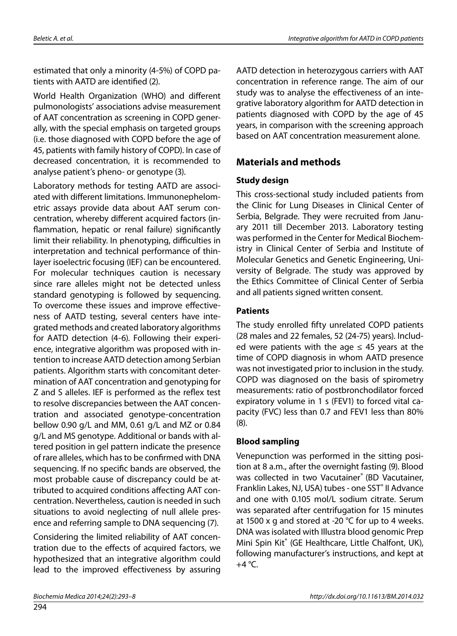estimated that only a minority (4-5%) of COPD patients with AATD are identified (2).

World Health Organization (WHO) and different pulmonologists' associations advise measurement of AAT concentration as screening in COPD generally, with the special emphasis on targeted groups (i.e. those diagnosed with COPD before the age of 45, patients with family history of COPD). In case of decreased concentration, it is recommended to analyse patient's pheno- or genotype (3).

Laboratory methods for testing AATD are associated with different limitations. Immunonephelometric assays provide data about AAT serum concentration, whereby different acquired factors (inflammation, hepatic or renal failure) significantly limit their reliability. In phenotyping, difficulties in interpretation and technical performance of thinlayer isoelectric focusing (IEF) can be encountered. For molecular techniques caution is necessary since rare alleles might not be detected unless standard genotyping is followed by sequencing. To overcome these issues and improve effectiveness of AATD testing, several centers have integrated methods and created laboratory algorithms for AATD detection (4-6). Following their experience, integrative algorithm was proposed with intention to increase AATD detection among Serbian patients. Algorithm starts with concomitant determination of AAT concentration and genotyping for Z and S alleles. IEF is performed as the reflex test to resolve discrepancies between the AAT concentration and associated genotype-concentration bellow 0.90 g/L and MM, 0.61 g/L and MZ or 0.84 g/L and MS genotype. Additional or bands with altered position in gel pattern indicate the presence of rare alleles, which has to be confirmed with DNA sequencing. If no specific bands are observed, the most probable cause of discrepancy could be attributed to acquired conditions affecting AAT concentration. Nevertheless, caution is needed in such situations to avoid neglecting of null allele presence and referring sample to DNA sequencing (7).

Considering the limited reliability of AAT concentration due to the effects of acquired factors, we hypothesized that an integrative algorithm could lead to the improved effectiveness by assuring AATD detection in heterozygous carriers with AAT concentration in reference range. The aim of our study was to analyse the effectiveness of an integrative laboratory algorithm for AATD detection in patients diagnosed with COPD by the age of 45 years, in comparison with the screening approach based on AAT concentration measurement alone.

## **Materials and methods**

#### **Study design**

This cross-sectional study included patients from the Clinic for Lung Diseases in Clinical Center of Serbia, Belgrade. They were recruited from January 2011 till December 2013. Laboratory testing was performed in the Center for Medical Biochemistry in Clinical Center of Serbia and Institute of Molecular Genetics and Genetic Engineering, University of Belgrade. The study was approved by the Ethics Committee of Clinical Center of Serbia and all patients signed written consent.

#### **Patients**

The study enrolled fifty unrelated COPD patients (28 males and 22 females, 52 (24-75) years). Included were patients with the age  $\leq$  45 years at the time of COPD diagnosis in whom AATD presence was not investigated prior to inclusion in the study. COPD was diagnosed on the basis of spirometry measurements: ratio of postbronchodilator forced expiratory volume in 1 s (FEV1) to forced vital capacity (FVC) less than 0.7 and FEV1 less than 80% (8).

#### **Blood sampling**

Venepunction was performed in the sitting position at 8 a.m., after the overnight fasting (9). Blood was collected in two Vacutainer® (BD Vacutainer, Franklin Lakes, NJ, USA) tubes - one SST<sup>®</sup> II Advance and one with 0.105 mol/L sodium citrate. Serum was separated after centrifugation for 15 minutes at 1500 x g and stored at -20 °С for up to 4 weeks. DNA was isolated with Illustra blood genomic Prep Mini Spin Kit® (GE Healthcare, Little Chalfont, UK), following manufacturer's instructions, and kept at +4 °С.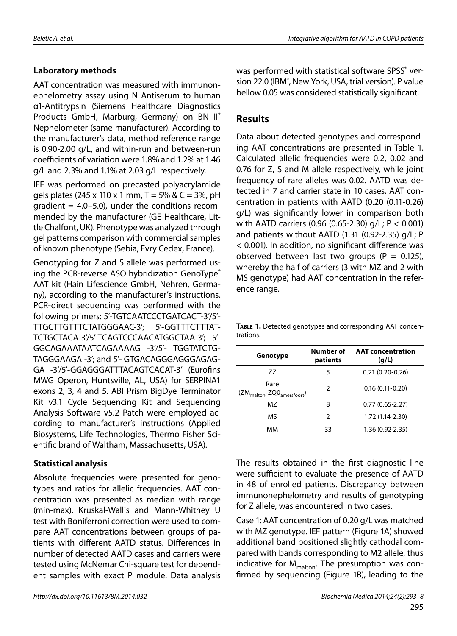#### **Laboratory methods**

AAT concentration was measured with immunonephelometry assay using N Antiserum to human α1-Antitrypsin (Siemens Healthcare Diagnostics Products GmbH, Marburg, Germany) on BN II® Nephelometer (same manufacturer). According to the manufacturer's data, method reference range is 0.90-2.00 g/L, and within-run and between-run coefficients of variation were 1.8% and 1.2% at 1.46 g/L and 2.3% and 1.1% at 2.03 g/L respectively.

IEF was performed on precasted polyacrylamide gels plates (245 x 110 x 1 mm,  $T = 5\%$  & C = 3%, pH gradient  $=$  4.0–5.0), under the conditions recommended by the manufacturer (GE Healthcare, Little Chalfont, UK). Phenotype was analyzed through gel patterns comparison with commercial samples of known phenotype (Sebia, Evry Cedex, France).

Genotyping for Z and S allele was performed using the PCR-reverse ASO hybridization GenoType® ААТ kit (Hain Lifescience GmbH, Nehren, Germany), according to the manufacturer's instructions. PCR-direct sequencing was performed with the following primers: 5'-TGTCAATCCCTGATCACT-3'/5'- TTGCTTGTTTCTATGGGAAC-3'; 5'-GGTTTCTTTAT-TCTGCTACA-3'/5'-TCAGTCCCAACATGGCTAA-3'; 5'- GGCAGAAATAATCAGAAAAG -3'/5'- TGGTATCTG-TAGGGAAGA -3'; and 5'- GTGACAGGGAGGGAGAG-GA -3'/5'-GGAGGGATTTACAGTCACAT-3' (Eurofins MWG Operon, Huntsville, AL, USA) for SERPINA1 exons 2, 3, 4 and 5. ABI Prism BigDye Terminator Kit v3.1 Cycle Sequencing Kit and Sequencing Analysis Software v5.2 Patch were employed according to manufacturer's instructions (Applied Biosystems, Life Technologies, Thermo Fisher Scientific brand of Waltham, Massachusetts, USA).

#### **Statistical analysis**

Absolute frequencies were presented for genotypes and ratios for allelic frequencies. AAT concentration was presented as median with range (min-max). Kruskal-Wallis and Mann-Whitney U test with Boniferroni correction were used to compare AAT concentrations between groups of patients with different AATD status. Differences in number of detected AATD cases and carriers were tested using McNemar Chi-square test for dependent samples with exact P module. Data analysis

was performed with statistical software SPSS® version 22.0 (IBM<sup>®</sup>, New York, USA, trial version). P value bellow 0.05 was considered statistically significant.

### **Results**

Data about detected genotypes and corresponding AAT concentrations are presented in Table 1. Calculated allelic frequencies were 0.2, 0.02 and 0.76 for Z, S and M allele respectively, while joint frequency of rare alleles was 0.02. AATD was detected in 7 and carrier state in 10 cases. AAT concentration in patients with AATD (0.20 (0.11-0.26) g/L) was significantly lower in comparison both with AATD carriers (0.96 (0.65-2.30) g/L; P < 0.001) and patients without AATD (1.31 (0.92-2.35) g/L; P < 0.001). In addition, no significant difference was observed between last two groups ( $P = 0.125$ ), whereby the half of carriers (3 with MZ and 2 with MS genotype) had AAT concentration in the reference range.

**Table 1.** Detected genotypes and corresponding AAT concentrations.

| Genotype                                                | Number of<br>patients | <b>AAT</b> concentration<br>(g/L) |
|---------------------------------------------------------|-----------------------|-----------------------------------|
| 77                                                      | 5                     | $0.21(0.20-0.26)$                 |
| Rare<br>$(ZM_{\text{malton}}, ZQQ_{\text{amersfoort}})$ | 2                     | $0.16(0.11-0.20)$                 |
| MZ                                                      | 8                     | $0.77(0.65 - 2.27)$               |
| MS                                                      | $\mathcal{P}$         | $1.72(1.14 - 2.30)$               |
| мм                                                      | 33                    | $1.36(0.92 - 2.35)$               |

The results obtained in the first diagnostic line were sufficient to evaluate the presence of AATD in 48 of enrolled patients. Discrepancy between immunonephelometry and results of genotyping for Z allele, was encountered in two cases.

Case 1: AAT concentration of 0.20 g/L was matched with MZ genotype. IEF pattern (Figure 1A) showed additional band positioned slightly cathodal compared with bands corresponding to M2 allele, thus indicative for  $M_{\text{malton}}$ . The presumption was confirmed by sequencing (Figure 1B), leading to the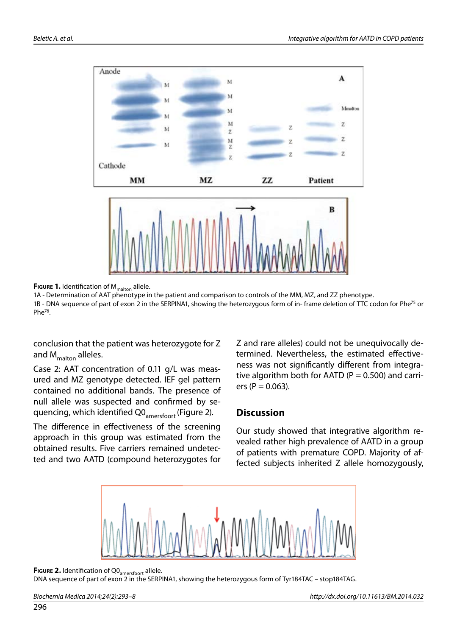

**FIGURE 1.** Identification of M<sub>malton</sub> allele.

1A - Determination of AAT phenotype in the patient and comparison to controls of the MM, MZ, and ZZ phenotype. 1B - DNA sequence of part of exon 2 in the SERPINA1, showing the heterozygous form of in-frame deletion of TTC codon for Phe<sup>75</sup> or Phe76.

conclusion that the patient was heterozygote for Z and  $M_{\text{malton}}$  alleles.

Case 2: AAT concentration of 0.11 g/L was measured and MZ genotype detected. IEF gel pattern contained no additional bands. The presence of null allele was suspected and confirmed by sequencing, which identified Q0<sub>amersfoort</sub> (Figure 2).

The difference in effectiveness of the screening approach in this group was estimated from the obtained results. Five carriers remained undetected and two AATD (compound heterozygotes for Z and rare alleles) could not be unequivocally determined. Nevertheless, the estimated effectiveness was not significantly different from integrative algorithm both for AATD ( $P = 0.500$ ) and carriers ( $P = 0.063$ ).

#### **Discussion**

Our study showed that integrative algorithm revealed rather high prevalence of AATD in a group of patients with premature COPD. Majority of affected subjects inherited Z allele homozygously,



**FIGURE 2.** Identification of Q0<sub>amersfoort</sub> allele.

DNA sequence of part of exon 2 in the SERPINA1, showing the heterozygous form of Tyr184TAC – stop184TAG.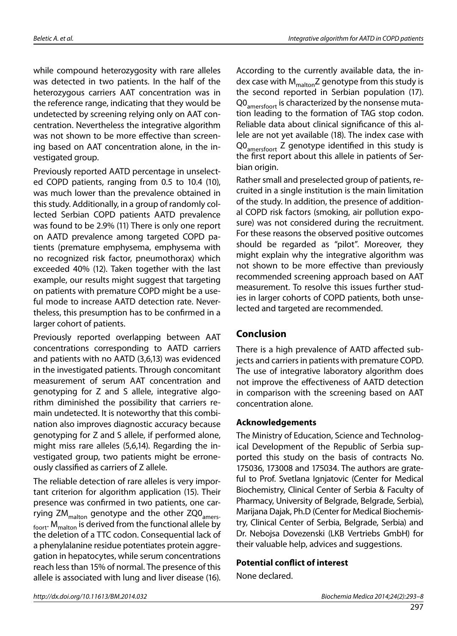while compound heterozygosity with rare alleles was detected in two patients. In the half of the heterozygous carriers AAT concentration was in the reference range, indicating that they would be undetected by screening relying only on AAT concentration. Nevertheless the integrative algorithm was not shown to be more effective than screening based on AAT concentration alone, in the investigated group.

Previously reported AATD percentage in unselected COPD patients, ranging from 0.5 to 10.4 (10), was much lower than the prevalence obtained in this study. Additionally, in a group of randomly collected Serbian COPD patients AATD prevalence was found to be 2.9% (11) There is only one report on AATD prevalence among targeted COPD patients (premature emphysema, emphysema with no recognized risk factor, pneumothorax) which exceeded 40% (12). Taken together with the last example, our results might suggest that targeting on patients with premature COPD might be a useful mode to increase AATD detection rate. Nevertheless, this presumption has to be confirmed in a larger cohort of patients.

Previously reported overlapping between AAT concentrations corresponding to AATD carriers and patients with no AATD (3,6,13) was evidenced in the investigated patients. Through concomitant measurement of serum AAT concentration and genotyping for Z and S allele, integrative algorithm diminished the possibility that carriers remain undetected. It is noteworthy that this combination also improves diagnostic accuracy because genotyping for Z and S allele, if performed alone, might miss rare alleles (5,6,14). Regarding the investigated group, two patients might be erroneously classified as carriers of Z allele.

The reliable detection of rare alleles is very important criterion for algorithm application (15). Their presence was confirmed in two patients, one carrying ZM<sub>malton</sub> genotype and the other ZQ0<sub>amers-</sub>  $_{\text{foott}}$ . M<sub>malton</sub> is derived from the functional allele by the deletion of a TTC codon. Consequential lack of a phenylalanine residue potentiates protein aggregation in hepatocytes, while serum concentrations reach less than 15% of normal. The presence of this allele is associated with lung and liver disease (16).

According to the currently available data, the index case with  $M_{malton}Z$  genotype from this study is the second reported in Serbian population (17). Q0<sub>amersfoort</sub> is characterized by the nonsense mutation leading to the formation of TAG stop codon. Reliable data about clinical significance of this allele are not yet available (18). The index case with Q0<sub>amersfoort</sub> Z genotype identified in this study is the first report about this allele in patients of Serbian origin.

Rather small and preselected group of patients, recruited in a single institution is the main limitation of the study. In addition, the presence of additional COPD risk factors (smoking, air pollution exposure) was not considered during the recruitment. For these reasons the observed positive outcomes should be regarded as "pilot". Moreover, they might explain why the integrative algorithm was not shown to be more effective than previously recommended screening approach based on AAT measurement. To resolve this issues further studies in larger cohorts of COPD patients, both unselected and targeted are recommended.

### **Conclusion**

There is a high prevalence of AATD affected subjects and carriers in patients with premature COPD. The use of integrative laboratory algorithm does not improve the effectiveness of AATD detection in comparison with the screening based on AAT concentration alone.

#### **Acknowledgements**

The Ministry of Education, Science and Technological Development of the Republic of Serbia supported this study on the basis of contracts No. 175036, 173008 and 175034. The authors are grateful to Prof. Svetlana Ignjatovic (Center for Medical Biochemistry, Clinical Center of Serbia & Faculty of Pharmacy, University of Belgrade, Belgrade, Serbia), Marijana Dajak, Ph.D (Center for Medical Biochemistry, Clinical Center of Serbia, Belgrade, Serbia) and Dr. Nebojsa Dovezenski (LKB Vertriebs GmbH) for their valuable help, advices and suggestions.

#### **Potential conflict of interest**

None declared.